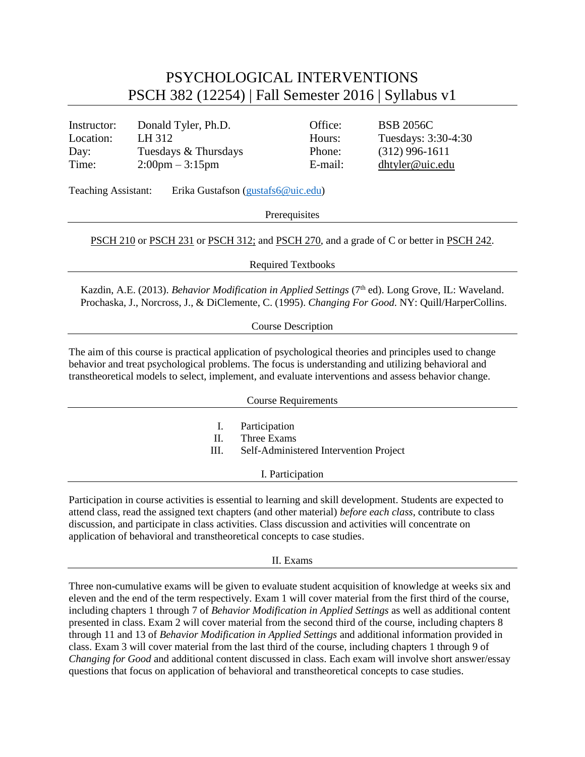# PSYCHOLOGICAL INTERVENTIONS PSCH 382 (12254) | Fall Semester 2016 | Syllabus v1

| Instructor:                | Donald Tyler, Ph.D.               | Office:                                                                | <b>BSB 2056C</b>                                                                                                                                                                                                                                                                                                      |  |  |  |  |
|----------------------------|-----------------------------------|------------------------------------------------------------------------|-----------------------------------------------------------------------------------------------------------------------------------------------------------------------------------------------------------------------------------------------------------------------------------------------------------------------|--|--|--|--|
| Location:                  | LH 312                            | Hours:                                                                 | Tuesdays: 3:30-4:30                                                                                                                                                                                                                                                                                                   |  |  |  |  |
| Day:                       | Tuesdays & Thursdays              | Phone:                                                                 | $(312)$ 996-1611                                                                                                                                                                                                                                                                                                      |  |  |  |  |
| Time:                      | $2:00 \text{pm} - 3:15 \text{pm}$ | E-mail:                                                                | dhtyler@uic.edu                                                                                                                                                                                                                                                                                                       |  |  |  |  |
| <b>Teaching Assistant:</b> |                                   | Erika Gustafson (gustafs6@uic.edu)                                     |                                                                                                                                                                                                                                                                                                                       |  |  |  |  |
|                            |                                   | Prerequisites                                                          |                                                                                                                                                                                                                                                                                                                       |  |  |  |  |
|                            |                                   |                                                                        | PSCH 210 or PSCH 231 or PSCH 312; and PSCH 270, and a grade of C or better in PSCH 242.                                                                                                                                                                                                                               |  |  |  |  |
| <b>Required Textbooks</b>  |                                   |                                                                        |                                                                                                                                                                                                                                                                                                                       |  |  |  |  |
|                            |                                   | <b>Course Description</b>                                              | Kazdin, A.E. (2013). Behavior Modification in Applied Settings (7 <sup>th</sup> ed). Long Grove, IL: Waveland.<br>Prochaska, J., Norcross, J., & DiClemente, C. (1995). Changing For Good. NY: Quill/HarperCollins.                                                                                                   |  |  |  |  |
|                            |                                   |                                                                        |                                                                                                                                                                                                                                                                                                                       |  |  |  |  |
|                            |                                   |                                                                        | The aim of this course is practical application of psychological theories and principles used to change<br>behavior and treat psychological problems. The focus is understanding and utilizing behavioral and<br>transtheoretical models to select, implement, and evaluate interventions and assess behavior change. |  |  |  |  |
| <b>Course Requirements</b> |                                   |                                                                        |                                                                                                                                                                                                                                                                                                                       |  |  |  |  |
|                            | I.<br>Π.<br>III.                  | Participation<br>Three Exams<br>Self-Administered Intervention Project |                                                                                                                                                                                                                                                                                                                       |  |  |  |  |
|                            |                                   | I. Participation                                                       |                                                                                                                                                                                                                                                                                                                       |  |  |  |  |

Participation in course activities is essential to learning and skill development. Students are expected to attend class, read the assigned text chapters (and other material) *before each class*, contribute to class discussion, and participate in class activities. Class discussion and activities will concentrate on application of behavioral and transtheoretical concepts to case studies.

### II. Exams

Three non-cumulative exams will be given to evaluate student acquisition of knowledge at weeks six and eleven and the end of the term respectively. Exam 1 will cover material from the first third of the course, including chapters 1 through 7 of *Behavior Modification in Applied Settings* as well as additional content presented in class. Exam 2 will cover material from the second third of the course, including chapters 8 through 11 and 13 of *Behavior Modification in Applied Settings* and additional information provided in class. Exam 3 will cover material from the last third of the course, including chapters 1 through 9 of *Changing for Good* and additional content discussed in class. Each exam will involve short answer/essay questions that focus on application of behavioral and transtheoretical concepts to case studies.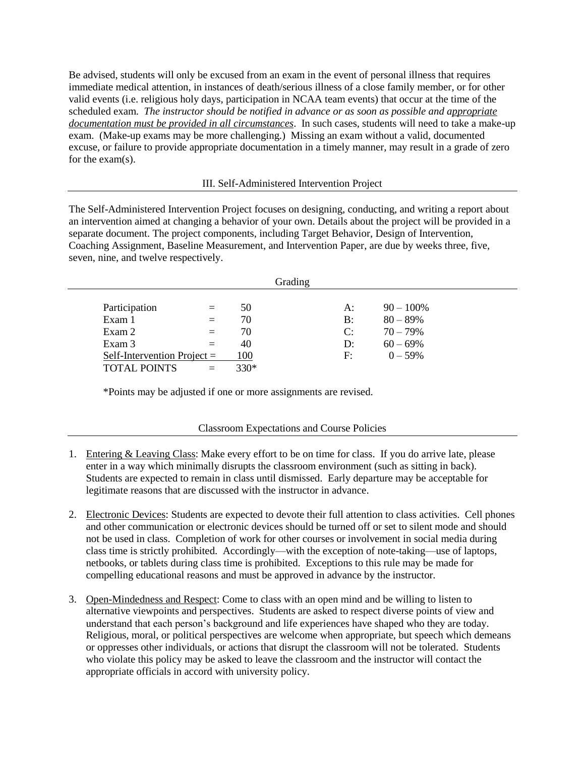Be advised, students will only be excused from an exam in the event of personal illness that requires immediate medical attention, in instances of death/serious illness of a close family member, or for other valid events (i.e. religious holy days, participation in NCAA team events) that occur at the time of the scheduled exam. *The instructor should be notified in advance or as soon as possible and appropriate documentation must be provided in all circumstances*. In such cases, students will need to take a make-up exam. (Make-up exams may be more challenging.) Missing an exam without a valid, documented excuse, or failure to provide appropriate documentation in a timely manner, may result in a grade of zero for the exam(s).

## III. Self-Administered Intervention Project

The Self-Administered Intervention Project focuses on designing, conducting, and writing a report about an intervention aimed at changing a behavior of your own. Details about the project will be provided in a separate document. The project components, including Target Behavior, Design of Intervention, Coaching Assignment, Baseline Measurement, and Intervention Paper, are due by weeks three, five, seven, nine, and twelve respectively.

|                           |            |      | Grading |          |              |
|---------------------------|------------|------|---------|----------|--------------|
|                           |            | 50   |         |          | $90 - 100\%$ |
| Participation<br>Exam 1   | $=$<br>$=$ | 70   |         | A:<br>B: | $80 - 89%$   |
| Exam 2                    | $=$        | 70   |         | C:       | $70 - 79%$   |
| Exam 3                    | $=$        | 40   |         | D:       | $60 - 69%$   |
| $Self-Interior Project =$ |            | 100  |         | F:       | $0 - 59\%$   |
| <b>TOTAL POINTS</b>       | $=$        | 330* |         |          |              |

\*Points may be adjusted if one or more assignments are revised.

### Classroom Expectations and Course Policies

- 1. Entering & Leaving Class: Make every effort to be on time for class. If you do arrive late, please enter in a way which minimally disrupts the classroom environment (such as sitting in back). Students are expected to remain in class until dismissed. Early departure may be acceptable for legitimate reasons that are discussed with the instructor in advance.
- 2. Electronic Devices: Students are expected to devote their full attention to class activities. Cell phones and other communication or electronic devices should be turned off or set to silent mode and should not be used in class. Completion of work for other courses or involvement in social media during class time is strictly prohibited. Accordingly—with the exception of note-taking—use of laptops, netbooks, or tablets during class time is prohibited. Exceptions to this rule may be made for compelling educational reasons and must be approved in advance by the instructor.
- 3. Open-Mindedness and Respect: Come to class with an open mind and be willing to listen to alternative viewpoints and perspectives. Students are asked to respect diverse points of view and understand that each person's background and life experiences have shaped who they are today. Religious, moral, or political perspectives are welcome when appropriate, but speech which demeans or oppresses other individuals, or actions that disrupt the classroom will not be tolerated. Students who violate this policy may be asked to leave the classroom and the instructor will contact the appropriate officials in accord with university policy.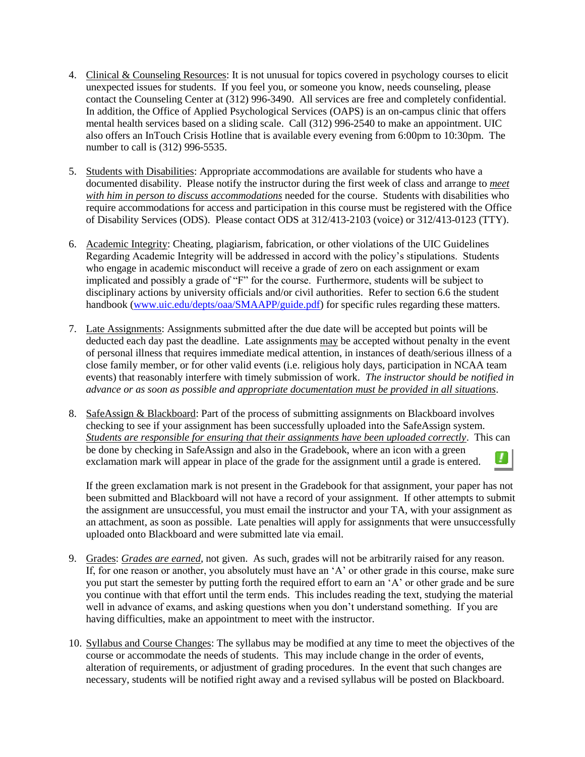- 4. Clinical & Counseling Resources: It is not unusual for topics covered in psychology courses to elicit unexpected issues for students. If you feel you, or someone you know, needs counseling, please contact the Counseling Center at (312) 996-3490. All services are free and completely confidential. In addition, the Office of Applied Psychological Services (OAPS) is an on-campus clinic that offers mental health services based on a sliding scale. Call (312) 996-2540 to make an appointment. UIC also offers an InTouch Crisis Hotline that is available every evening from 6:00pm to 10:30pm. The number to call is (312) 996-5535.
- 5. Students with Disabilities: Appropriate accommodations are available for students who have a documented disability. Please notify the instructor during the first week of class and arrange to *meet with him in person to discuss accommodations* needed for the course. Students with disabilities who require accommodations for access and participation in this course must be registered with the Office of Disability Services (ODS). Please contact ODS at 312/413-2103 (voice) or 312/413-0123 (TTY).
- 6. Academic Integrity: Cheating, plagiarism, fabrication, or other violations of the UIC Guidelines Regarding Academic Integrity will be addressed in accord with the policy's stipulations. Students who engage in academic misconduct will receive a grade of zero on each assignment or exam implicated and possibly a grade of "F" for the course. Furthermore, students will be subject to disciplinary actions by university officials and/or civil authorities. Refer to section 6.6 the student handbook [\(www.uic.edu/depts/oaa/SMAAPP/guide.pdf\)](http://www.uic.edu/depts/oaa/SMAAPP/guide.pdf) for specific rules regarding these matters.
- 7. Late Assignments: Assignments submitted after the due date will be accepted but points will be deducted each day past the deadline. Late assignments may be accepted without penalty in the event of personal illness that requires immediate medical attention, in instances of death/serious illness of a close family member, or for other valid events (i.e. religious holy days, participation in NCAA team events) that reasonably interfere with timely submission of work. *The instructor should be notified in advance or as soon as possible and appropriate documentation must be provided in all situations*.
- 8. SafeAssign & Blackboard: Part of the process of submitting assignments on Blackboard involves checking to see if your assignment has been successfully uploaded into the SafeAssign system. *Students are responsible for ensuring that their assignments have been uploaded correctly*. This can be done by checking in SafeAssign and also in the Gradebook, where an icon with a green u. exclamation mark will appear in place of the grade for the assignment until a grade is entered.

If the green exclamation mark is not present in the Gradebook for that assignment, your paper has not been submitted and Blackboard will not have a record of your assignment. If other attempts to submit the assignment are unsuccessful, you must email the instructor and your TA, with your assignment as an attachment, as soon as possible. Late penalties will apply for assignments that were unsuccessfully uploaded onto Blackboard and were submitted late via email.

- 9. Grades: *Grades are earned*, not given. As such, grades will not be arbitrarily raised for any reason. If, for one reason or another, you absolutely must have an 'A' or other grade in this course, make sure you put start the semester by putting forth the required effort to earn an 'A' or other grade and be sure you continue with that effort until the term ends. This includes reading the text, studying the material well in advance of exams, and asking questions when you don't understand something. If you are having difficulties, make an appointment to meet with the instructor.
- 10. Syllabus and Course Changes: The syllabus may be modified at any time to meet the objectives of the course or accommodate the needs of students. This may include change in the order of events, alteration of requirements, or adjustment of grading procedures. In the event that such changes are necessary, students will be notified right away and a revised syllabus will be posted on Blackboard.